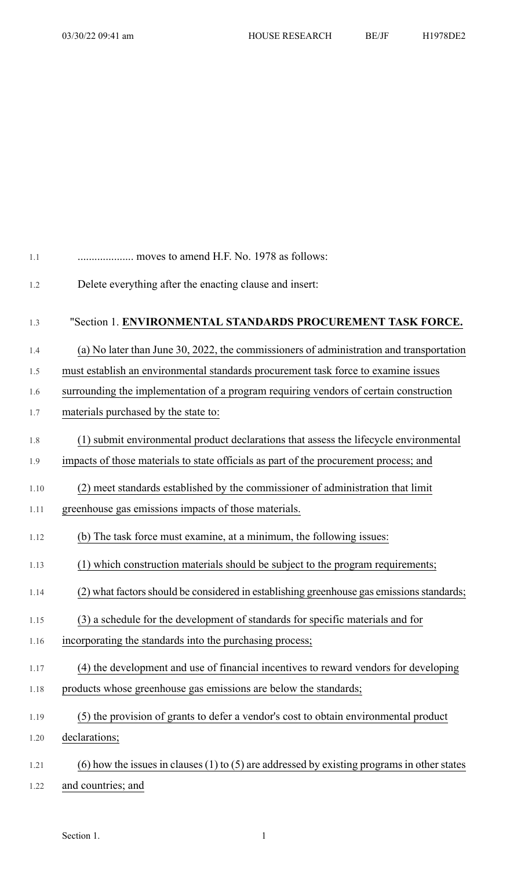| 1.1  | moves to amend H.F. No. 1978 as follows:                                                    |
|------|---------------------------------------------------------------------------------------------|
| 1.2  | Delete everything after the enacting clause and insert:                                     |
| 1.3  | "Section 1. ENVIRONMENTAL STANDARDS PROCUREMENT TASK FORCE.                                 |
| 1.4  | (a) No later than June 30, 2022, the commissioners of administration and transportation     |
| 1.5  | must establish an environmental standards procurement task force to examine issues          |
| 1.6  | surrounding the implementation of a program requiring vendors of certain construction       |
| 1.7  | materials purchased by the state to:                                                        |
| 1.8  | (1) submit environmental product declarations that assess the lifecycle environmental       |
| 1.9  | impacts of those materials to state officials as part of the procurement process; and       |
| 1.10 | (2) meet standards established by the commissioner of administration that limit             |
| 1.11 | greenhouse gas emissions impacts of those materials.                                        |
| 1.12 | (b) The task force must examine, at a minimum, the following issues:                        |
| 1.13 | (1) which construction materials should be subject to the program requirements;             |
| 1.14 | (2) what factors should be considered in establishing greenhouse gas emissions standards;   |
| 1.15 | (3) a schedule for the development of standards for specific materials and for              |
| 1.16 | incorporating the standards into the purchasing process;                                    |
| 1.17 | (4) the development and use of financial incentives to reward vendors for developing        |
| 1.18 | products whose greenhouse gas emissions are below the standards;                            |
| 1.19 | (5) the provision of grants to defer a vendor's cost to obtain environmental product        |
| 1.20 | declarations;                                                                               |
| 1.21 | (6) how the issues in clauses (1) to (5) are addressed by existing programs in other states |
| 1.22 | and countries; and                                                                          |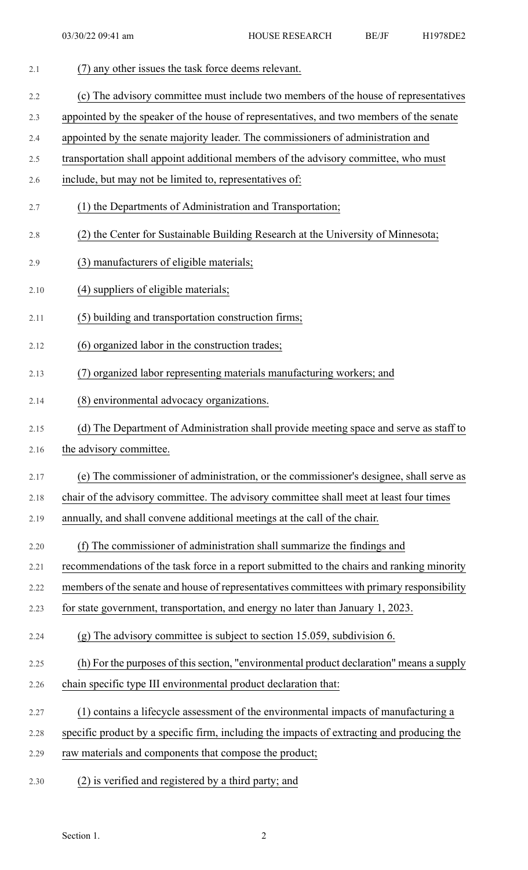| 2.1  | (7) any other issues the task force deems relevant.                                        |
|------|--------------------------------------------------------------------------------------------|
| 2.2  | (c) The advisory committee must include two members of the house of representatives        |
| 2.3  | appointed by the speaker of the house of representatives, and two members of the senate    |
| 2.4  | appointed by the senate majority leader. The commissioners of administration and           |
| 2.5  | transportation shall appoint additional members of the advisory committee, who must        |
| 2.6  | include, but may not be limited to, representatives of:                                    |
| 2.7  | (1) the Departments of Administration and Transportation;                                  |
| 2.8  | (2) the Center for Sustainable Building Research at the University of Minnesota;           |
| 2.9  | (3) manufacturers of eligible materials;                                                   |
| 2.10 | (4) suppliers of eligible materials;                                                       |
| 2.11 | (5) building and transportation construction firms;                                        |
| 2.12 | (6) organized labor in the construction trades;                                            |
| 2.13 | (7) organized labor representing materials manufacturing workers; and                      |
| 2.14 | (8) environmental advocacy organizations.                                                  |
| 2.15 | (d) The Department of Administration shall provide meeting space and serve as staff to     |
| 2.16 | the advisory committee.                                                                    |
| 2.17 | (e) The commissioner of administration, or the commissioner's designee, shall serve as     |
| 2.18 | chair of the advisory committee. The advisory committee shall meet at least four times     |
| 2.19 | annually, and shall convene additional meetings at the call of the chair.                  |
| 2.20 | (f) The commissioner of administration shall summarize the findings and                    |
| 2.21 | recommendations of the task force in a report submitted to the chairs and ranking minority |
| 2.22 | members of the senate and house of representatives committees with primary responsibility  |
| 2.23 | for state government, transportation, and energy no later than January 1, 2023.            |
| 2.24 | $(g)$ The advisory committee is subject to section 15.059, subdivision 6.                  |
| 2.25 | (h) For the purposes of this section, "environmental product declaration" means a supply   |
| 2.26 | chain specific type III environmental product declaration that:                            |
| 2.27 | (1) contains a lifecycle assessment of the environmental impacts of manufacturing a        |
| 2.28 | specific product by a specific firm, including the impacts of extracting and producing the |
| 2.29 | raw materials and components that compose the product;                                     |
| 2.30 | (2) is verified and registered by a third party; and                                       |